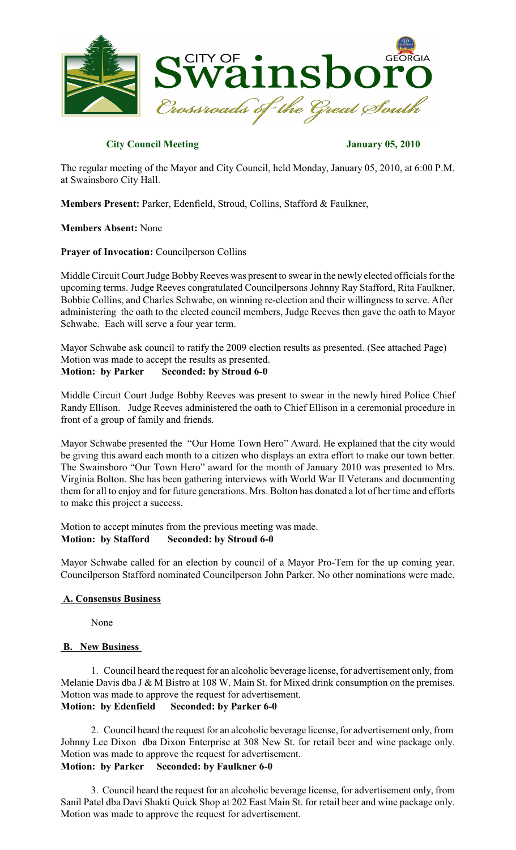

# **City Council Meeting January 05, 2010**

The regular meeting of the Mayor and City Council, held Monday, January 05, 2010, at 6:00 P.M. at Swainsboro City Hall.

**Members Present:** Parker, Edenfield, Stroud, Collins, Stafford & Faulkner,

**Members Absent:** None

# **Prayer of Invocation:** Councilperson Collins

Middle Circuit Court Judge Bobby Reeves was present to swear in the newly elected officials for the upcoming terms. Judge Reeves congratulated Councilpersons Johnny Ray Stafford, Rita Faulkner, Bobbie Collins, and Charles Schwabe, on winning re-election and their willingness to serve. After administering the oath to the elected council members, Judge Reeves then gave the oath to Mayor Schwabe. Each will serve a four year term.

Mayor Schwabe ask council to ratify the 2009 election results as presented. (See attached Page) Motion was made to accept the results as presented. **Motion: by Parker Seconded: by Stroud 6-0**

Middle Circuit Court Judge Bobby Reeves was present to swear in the newly hired Police Chief Randy Ellison. Judge Reeves administered the oath to Chief Ellison in a ceremonial procedure in front of a group of family and friends.

Mayor Schwabe presented the "Our Home Town Hero" Award. He explained that the city would be giving this award each month to a citizen who displays an extra effort to make our town better. The Swainsboro "Our Town Hero" award for the month of January 2010 was presented to Mrs. Virginia Bolton. She has been gathering interviews with World War II Veterans and documenting them for all to enjoy and for future generations. Mrs. Bolton has donated a lot of her time and efforts to make this project a success.

Motion to accept minutes from the previous meeting was made. **Motion: by Stafford Seconded: by Stroud 6-0**

Mayor Schwabe called for an election by council of a Mayor Pro-Tem for the up coming year. Councilperson Stafford nominated Councilperson John Parker. No other nominations were made.

# **A. Consensus Business**

None

# **B. New Business**

1. Council heard the request for an alcoholic beverage license, for advertisement only, from Melanie Davis dba J & M Bistro at 108 W. Main St. for Mixed drink consumption on the premises. Motion was made to approve the request for advertisement. **Motion: by Edenfield Seconded: by Parker 6-0**

2. Council heard the request for an alcoholic beverage license, for advertisement only, from Johnny Lee Dixon dba Dixon Enterprise at 308 New St. for retail beer and wine package only. Motion was made to approve the request for advertisement. **Motion: by Parker Seconded: by Faulkner 6-0**

3. Council heard the request for an alcoholic beverage license, for advertisement only, from Sanil Patel dba Davi Shakti Quick Shop at 202 East Main St. for retail beer and wine package only. Motion was made to approve the request for advertisement.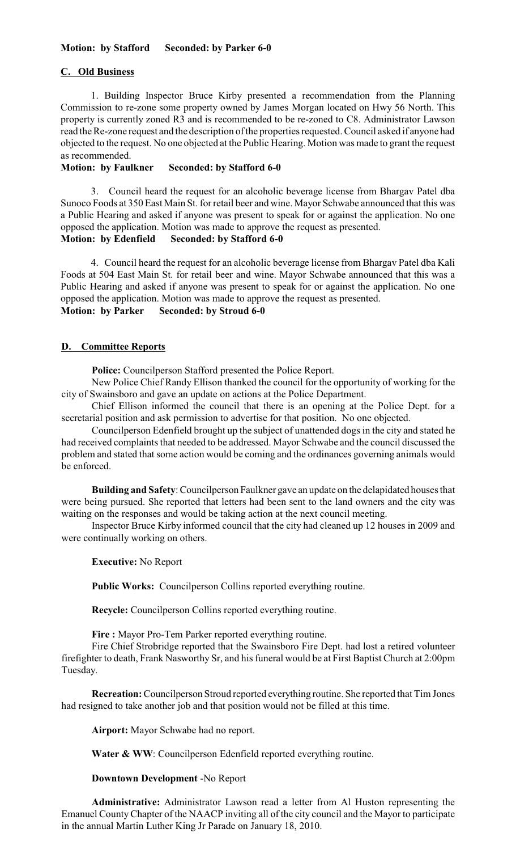# **C. Old Business**

1. Building Inspector Bruce Kirby presented a recommendation from the Planning Commission to re-zone some property owned by James Morgan located on Hwy 56 North. This property is currently zoned R3 and is recommended to be re-zoned to C8. Administrator Lawson read the Re-zone request and the description of the properties requested. Council asked if anyone had objected to the request. No one objected at the Public Hearing. Motion was made to grant the request as recommended.

#### **Motion: by Faulkner Seconded: by Stafford 6-0**

3. Council heard the request for an alcoholic beverage license from Bhargav Patel dba Sunoco Foods at 350 East Main St. for retail beer and wine. Mayor Schwabe announced that this was a Public Hearing and asked if anyone was present to speak for or against the application. No one opposed the application. Motion was made to approve the request as presented.

**Motion: by Edenfield Seconded: by Stafford 6-0**

4. Council heard the request for an alcoholic beverage license from Bhargav Patel dba Kali Foods at 504 East Main St. for retail beer and wine. Mayor Schwabe announced that this was a Public Hearing and asked if anyone was present to speak for or against the application. No one opposed the application. Motion was made to approve the request as presented.

# **Motion: by Parker Seconded: by Stroud 6-0**

## **D. Committee Reports**

**Police:** Councilperson Stafford presented the Police Report.

New Police Chief Randy Ellison thanked the council for the opportunity of working for the city of Swainsboro and gave an update on actions at the Police Department.

Chief Ellison informed the council that there is an opening at the Police Dept. for a secretarial position and ask permission to advertise for that position. No one objected.

Councilperson Edenfield brought up the subject of unattended dogs in the city and stated he had received complaints that needed to be addressed. Mayor Schwabe and the council discussed the problem and stated that some action would be coming and the ordinances governing animals would be enforced.

**Building and Safety**: Councilperson Faulkner gave an update on the delapidated houses that were being pursued. She reported that letters had been sent to the land owners and the city was waiting on the responses and would be taking action at the next council meeting.

Inspector Bruce Kirby informed council that the city had cleaned up 12 houses in 2009 and were continually working on others.

**Executive:** No Report

**Public Works:** Councilperson Collins reported everything routine.

**Recycle:** Councilperson Collins reported everything routine.

**Fire :** Mayor Pro-Tem Parker reported everything routine.

Fire Chief Strobridge reported that the Swainsboro Fire Dept. had lost a retired volunteer firefighter to death, Frank Nasworthy Sr, and his funeral would be at First Baptist Church at 2:00pm Tuesday.

**Recreation:**Councilperson Stroud reported everything routine. She reported that Tim Jones had resigned to take another job and that position would not be filled at this time.

**Airport:** Mayor Schwabe had no report.

Water & WW: Councilperson Edenfield reported everything routine.

### **Downtown Development** -No Report

**Administrative:** Administrator Lawson read a letter from Al Huston representing the Emanuel CountyChapter of the NAACP inviting all of the city council and the Mayor to participate in the annual Martin Luther King Jr Parade on January 18, 2010.